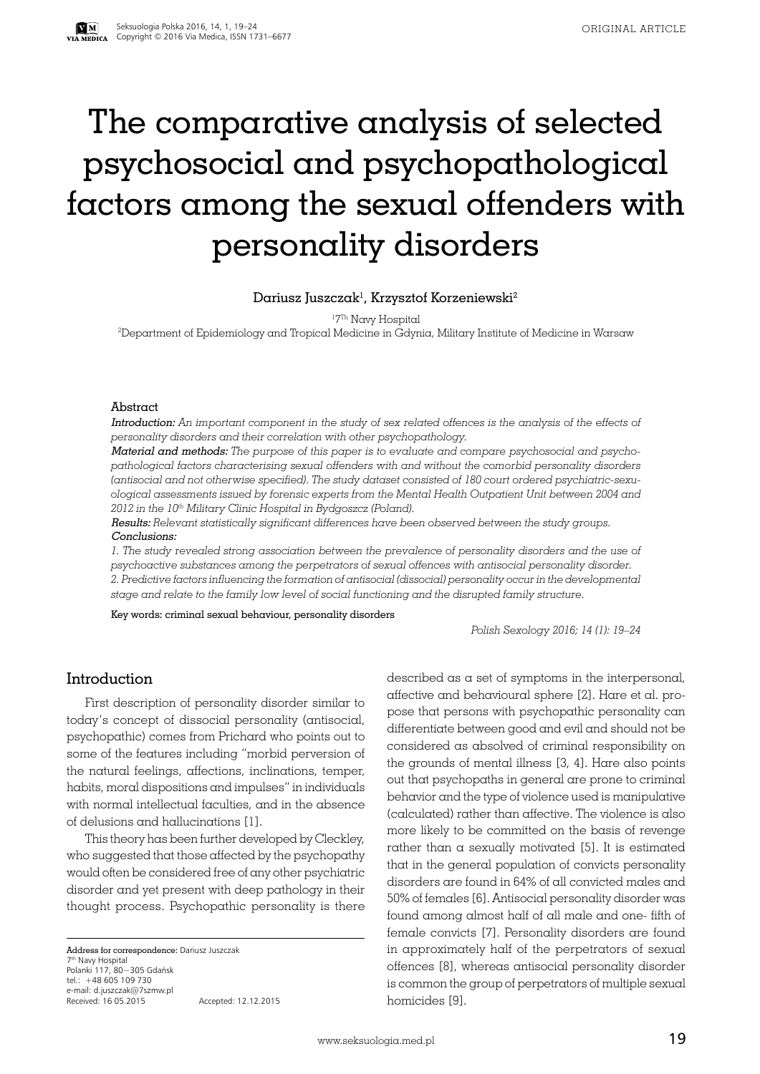# The comparative analysis of selected psychosocial and psychopathological factors among the sexual offenders with personality disorders

#### Dariusz Juszczak $^{\rm l}$ , Krzysztof Korzeniewski $^{\rm 2}$

1 7Th Navy Hospital

2 Department of Epidemiology and Tropical Medicine in Gdynia, Military Institute of Medicine in Warsaw

#### Abstract

Introduction: *An important component in the study of sex related offences is the analysis of the effects of personality disorders and their correlation with other psychopathology.* 

Material and methods: *The purpose of this paper is to evaluate and compare psychosocial and psychopathological factors characterising sexual offenders with and without the comorbid personality disorders (antisocial and not otherwise specified). The study dataset consisted of 180 court ordered psychiatric-sexuological assessments issued by forensic experts from the Mental Health Outpatient Unit between 2004 and 2012 in the 10th Military Clinic Hospital in Bydgoszcz (Poland).* 

Results: *Relevant statistically significant differences have been observed between the study groups.* Conclusions:

*1. The study revealed strong association between the prevalence of personality disorders and the use of psychoactive substances among the perpetrators of sexual offences with antisocial personality disorder. 2. Predictive factors influencing the formation of antisocial (dissocial) personality occur in the developmental stage and relate to the family low level of social functioning and the disrupted family structure.*

Key words: criminal sexual behaviour, personality disorders

*Polish Sexology 2016; 14 (1): 19–24*

## Introduction

First description of personality disorder similar to today's concept of dissocial personality (antisocial, psychopathic) comes from Prichard who points out to some of the features including "morbid perversion of the natural feelings, affections, inclinations, temper, habits, moral dispositions and impulses" in individuals with normal intellectual faculties, and in the absence of delusions and hallucinations [1].

This theory has been further developed by Cleckley, who suggested that those affected by the psychopathy would often be considered free of any other psychiatric disorder and yet present with deep pathology in their thought process. Psychopathic personality is there

Address for correspondence: Dariusz Juszczak 7th Navy Hospital Polanki 117, 80−305 Gdańsk tel.: +48 605 109 730 e-mail: d.juszczak@7szmw.pl Received: 16 05.2015 Accepted: 12.12.2015 2011 described as  $\alpha$  set of symptoms in the interpersonal, affective and behavioural sphere [2]. Hare et al. propose that persons with psychopathic personality can differentiate between good and evil and should not be considered as absolved of criminal responsibility on the grounds of mental illness [3, 4]. Hare also points out that psychopaths in general are prone to criminal behavior and the type of violence used is manipulative (calculated) rather than affective. The violence is also more likely to be committed on the basis of revenge rather than a sexually motivated [5]. It is estimated that in the general population of convicts personality disorders are found in 64% of all convicted males and 50% of females [6]. Antisocial personality disorder was found among almost half of all male and one- fifth of female convicts [7]. Personality disorders are found in approximately half of the perpetrators of sexual offences [8], whereas antisocial personality disorder is common the group of perpetrators of multiple sexual homicides [9].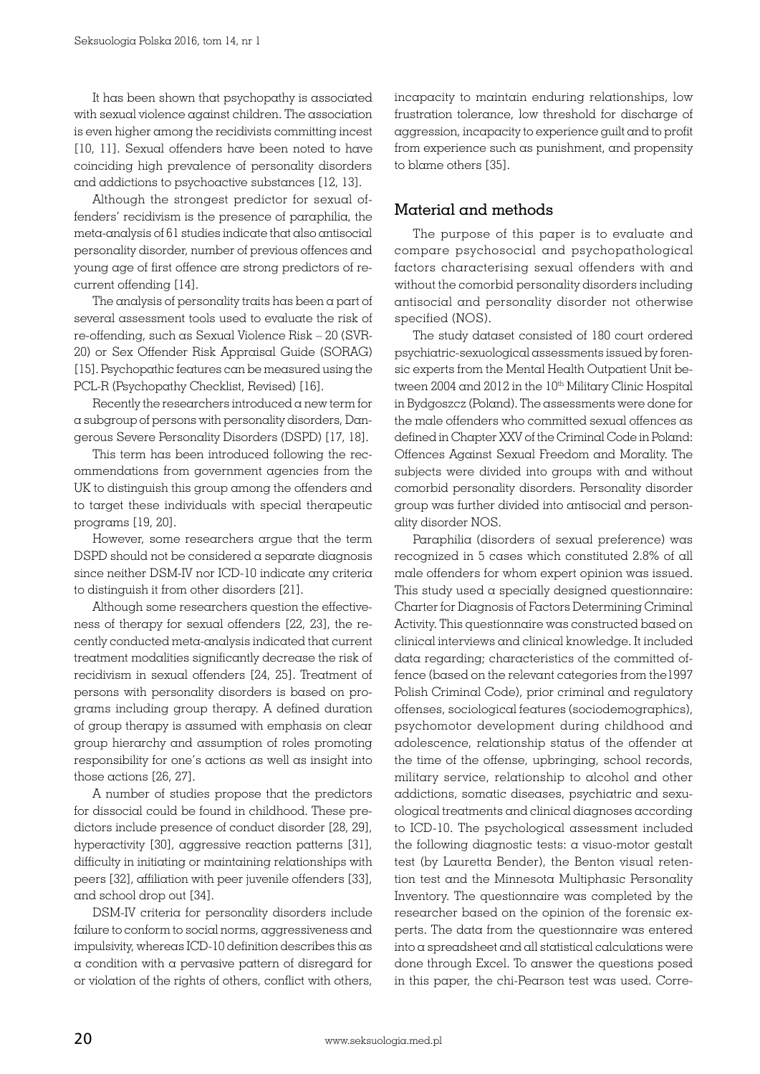It has been shown that psychopathy is associated with sexual violence against children. The association is even higher among the recidivists committing incest [10, 11]. Sexual offenders have been noted to have coinciding high prevalence of personality disorders and addictions to psychoactive substances [12, 13].

Although the strongest predictor for sexual offenders' recidivism is the presence of paraphilia, the meta-analysis of 61 studies indicate that also antisocial personality disorder, number of previous offences and young age of first offence are strong predictors of recurrent offending [14].

The analysis of personality traits has been a part of several assessment tools used to evaluate the risk of re-offending, such as Sexual Violence Risk – 20 (SVR-20) or Sex Offender Risk Appraisal Guide (SORAG) [15]. Psychopathic features can be measured using the PCL-R (Psychopathy Checklist, Revised) [16].

Recently the researchers introduced a new term for a subgroup of persons with personality disorders, Dangerous Severe Personality Disorders (DSPD) [17, 18].

This term has been introduced following the recommendations from government agencies from the UK to distinguish this group among the offenders and to target these individuals with special therapeutic programs [19, 20].

However, some researchers argue that the term DSPD should not be considered a separate diagnosis since neither DSM-IV nor ICD-10 indicate any criteria to distinguish it from other disorders [21].

Although some researchers question the effectiveness of therapy for sexual offenders [22, 23], the recently conducted meta-analysis indicated that current treatment modalities significantly decrease the risk of recidivism in sexual offenders [24, 25]. Treatment of persons with personality disorders is based on programs including group therapy. A defined duration of group therapy is assumed with emphasis on clear group hierarchy and assumption of roles promoting responsibility for one's actions as well as insight into those actions [26, 27].

A number of studies propose that the predictors for dissocial could be found in childhood. These predictors include presence of conduct disorder [28, 29], hyperactivity [30], aggressive reaction patterns [31], difficulty in initiating or maintaining relationships with peers [32], affiliation with peer juvenile offenders [33], and school drop out [34].

DSM-IV criteria for personality disorders include failure to conform to social norms, aggressiveness and impulsivity, whereas ICD-10 definition describes this as a condition with a pervasive pattern of disregard for or violation of the rights of others, conflict with others, incapacity to maintain enduring relationships, low frustration tolerance, low threshold for discharge of aggression, incapacity to experience guilt and to profit from experience such as punishment, and propensity to blame others [35].

#### Material and methods

The purpose of this paper is to evaluate and compare psychosocial and psychopathological factors characterising sexual offenders with and without the comorbid personality disorders including antisocial and personality disorder not otherwise specified (NOS).

The study dataset consisted of 180 court ordered psychiatric-sexuological assessments issued by forensic experts from the Mental Health Outpatient Unit between 2004 and 2012 in the 10<sup>th</sup> Military Clinic Hospital in Bydgoszcz (Poland). The assessments were done for the male offenders who committed sexual offences as defined in Chapter XXV of the Criminal Code in Poland: Offences Against Sexual Freedom and Morality. The subjects were divided into groups with and without comorbid personality disorders. Personality disorder group was further divided into antisocial and personality disorder NOS.

Paraphilia (disorders of sexual preference) was recognized in 5 cases which constituted 2.8% of all male offenders for whom expert opinion was issued. This study used a specially designed questionnaire: Charter for Diagnosis of Factors Determining Criminal Activity. This questionnaire was constructed based on clinical interviews and clinical knowledge. It included data regarding; characteristics of the committed offence (based on the relevant categories from the1997 Polish Criminal Code), prior criminal and regulatory offenses, sociological features (sociodemographics), psychomotor development during childhood and adolescence, relationship status of the offender at the time of the offense, upbringing, school records, military service, relationship to alcohol and other addictions, somatic diseases, psychiatric and sexuological treatments and clinical diagnoses according to ICD-10. The psychological assessment included the following diagnostic tests: a visuo-motor gestalt test (by Lauretta Bender), the Benton visual retention test and the Minnesota Multiphasic Personality Inventory. The questionnaire was completed by the researcher based on the opinion of the forensic experts. The data from the questionnaire was entered into a spreadsheet and all statistical calculations were done through Excel. To answer the questions posed in this paper, the chi-Pearson test was used. Corre-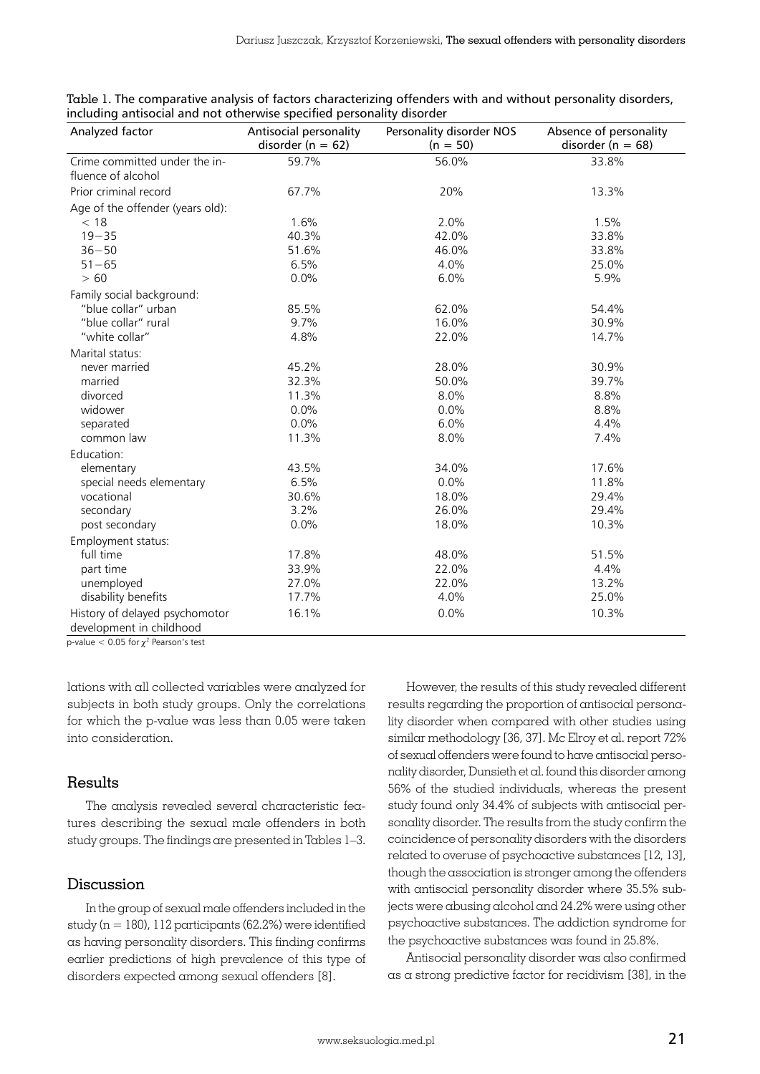| Analyzed factor                  | Antisocial personality<br>disorder ( $n = 62$ ) | Personality disorder NOS<br>$(n = 50)$ | Absence of personality<br>disorder ( $n = 68$ ) |  |
|----------------------------------|-------------------------------------------------|----------------------------------------|-------------------------------------------------|--|
| Crime committed under the in-    | 59.7%                                           | 56.0%                                  | 33.8%                                           |  |
| fluence of alcohol               |                                                 |                                        |                                                 |  |
| Prior criminal record            | 67.7%                                           | 20%                                    | 13.3%                                           |  |
| Age of the offender (years old): |                                                 |                                        |                                                 |  |
| < 18                             | 1.6%                                            | 2.0%                                   | 1.5%                                            |  |
| $19 - 35$                        | 40.3%                                           | 42.0%                                  | 33.8%                                           |  |
| $36 - 50$                        | 51.6%                                           | 46.0%                                  | 33.8%                                           |  |
| $51 - 65$                        | 6.5%                                            | 4.0%                                   | 25.0%                                           |  |
| > 60                             | 0.0%                                            | 6.0%                                   | 5.9%                                            |  |
| Family social background:        |                                                 |                                        |                                                 |  |
| "blue collar" urban              | 85.5%                                           | 62.0%                                  | 54.4%                                           |  |
| "blue collar" rural              | 9.7%                                            | 16.0%                                  | 30.9%                                           |  |
| "white collar"                   | 4.8%                                            | 22.0%                                  | 14.7%                                           |  |
| Marital status:                  |                                                 |                                        |                                                 |  |
| never married                    | 45.2%                                           | 28.0%                                  | 30.9%                                           |  |
| married                          | 32.3%                                           | 50.0%                                  | 39.7%                                           |  |
| divorced                         | 11.3%                                           | 8.0%                                   | 8.8%                                            |  |
| widower                          | 0.0%                                            | 0.0%                                   | 8.8%                                            |  |
| separated                        | 0.0%                                            | 6.0%                                   | 4.4%                                            |  |
| common law                       | 11.3%                                           | 8.0%                                   | 7.4%                                            |  |
| Education:                       |                                                 |                                        |                                                 |  |
| elementary                       | 43.5%                                           | 34.0%                                  | 17.6%                                           |  |
| special needs elementary         | 6.5%                                            | 0.0%                                   | 11.8%                                           |  |
| vocational                       | 30.6%                                           | 18.0%                                  | 29.4%                                           |  |
| secondary                        | 3.2%                                            | 26.0%                                  | 29.4%                                           |  |
| post secondary                   | 0.0%                                            | 18.0%                                  | 10.3%                                           |  |
| Employment status:               |                                                 |                                        |                                                 |  |
| full time                        | 17.8%                                           | 48.0%                                  | 51.5%                                           |  |
| part time                        | 33.9%                                           | 22.0%                                  | 4.4%                                            |  |
| unemployed                       | 27.0%                                           | 22.0%                                  | 13.2%                                           |  |
| disability benefits              | 17.7%                                           | 4.0%                                   | 25.0%                                           |  |
| History of delayed psychomotor   | 16.1%                                           | 0.0%                                   | 10.3%                                           |  |
| development in childhood         |                                                 |                                        |                                                 |  |

|  |  | Table 1. The comparative analysis of factors characterizing offenders with and without personality disorders, |  |  |
|--|--|---------------------------------------------------------------------------------------------------------------|--|--|
|  |  | including antisocial and not otherwise specified personality disorder                                         |  |  |

p-value  $< 0.05$  for  $\chi^2$  Pearson's test

lations with all collected variables were analyzed for subjects in both study groups. Only the correlations for which the p-value was less than 0.05 were taken into consideration.

## Results

The analysis revealed several characteristic features describing the sexual male offenders in both study groups. The findings are presented in Tables 1–3.

#### Discussion

In the group of sexual male offenders included in the study ( $n = 180$ ), 112 participants (62.2%) were identified as having personality disorders. This finding confirms earlier predictions of high prevalence of this type of disorders expected among sexual offenders [8].

However, the results of this study revealed different results regarding the proportion of antisocial personality disorder when compared with other studies using similar methodology [36, 37]. Mc Elroy et al. report 72% of sexual offenders were found to have antisocial personality disorder, Dunsieth et al. found this disorder among 56% of the studied individuals, whereas the present study found only 34.4% of subjects with antisocial personality disorder. The results from the study confirm the coincidence of personality disorders with the disorders related to overuse of psychoactive substances [12, 13], though the association is stronger among the offenders with antisocial personality disorder where 35.5% subjects were abusing alcohol and 24.2% were using other psychoactive substances. The addiction syndrome for the psychoactive substances was found in 25.8%.

Antisocial personality disorder was also confirmed as a strong predictive factor for recidivism [38], in the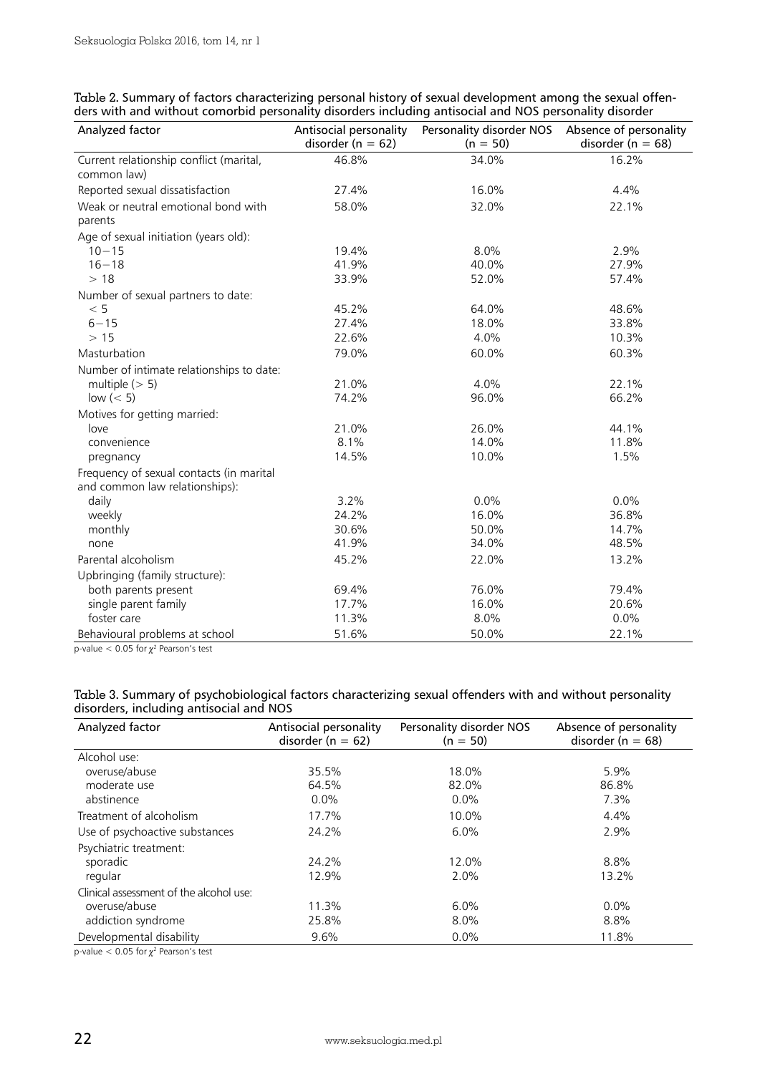| Analyzed factor                                        | Antisocial personality<br>disorder ( $n = 62$ ) | Personality disorder NOS<br>$(n = 50)$ | Absence of personality<br>disorder ( $n = 68$ ) |
|--------------------------------------------------------|-------------------------------------------------|----------------------------------------|-------------------------------------------------|
| Current relationship conflict (marital,<br>common law) | 46.8%                                           | 34.0%                                  | 16.2%                                           |
| Reported sexual dissatisfaction                        | 27.4%                                           | 16.0%                                  | 4.4%                                            |
| Weak or neutral emotional bond with<br>parents         | 58.0%                                           | 32.0%                                  | 22.1%                                           |
| Age of sexual initiation (years old):                  |                                                 |                                        |                                                 |
| $10 - 15$                                              | 19.4%                                           | 8.0%                                   | 2.9%                                            |
| $16 - 18$                                              | 41.9%                                           | 40.0%                                  | 27.9%                                           |
| >18                                                    | 33.9%                                           | 52.0%                                  | 57.4%                                           |
| Number of sexual partners to date:                     |                                                 |                                        |                                                 |
| < 5                                                    | 45.2%                                           | 64.0%                                  | 48.6%                                           |
| $6 - 15$                                               | 27.4%                                           | 18.0%                                  | 33.8%                                           |
| >15                                                    | 22.6%                                           | 4.0%                                   | 10.3%                                           |
| Masturbation                                           | 79.0%                                           | 60.0%                                  | 60.3%                                           |
| Number of intimate relationships to date:              |                                                 |                                        |                                                 |
| multiple $(> 5)$                                       | 21.0%                                           | 4.0%                                   | 22.1%                                           |
| low $(< 5)$                                            | 74.2%                                           | 96.0%                                  | 66.2%                                           |
| Motives for getting married:                           |                                                 |                                        |                                                 |
| love                                                   | 21.0%                                           | 26.0%                                  | 44.1%                                           |
| convenience                                            | 8.1%                                            | 14.0%                                  | 11.8%                                           |
| pregnancy                                              | 14.5%                                           | 10.0%                                  | 1.5%                                            |
| Frequency of sexual contacts (in marital               |                                                 |                                        |                                                 |
| and common law relationships):                         |                                                 |                                        |                                                 |
| daily                                                  | 3.2%                                            | 0.0%                                   | 0.0%                                            |
| weekly                                                 | 24.2%                                           | 16.0%                                  | 36.8%                                           |
| monthly                                                | 30.6%                                           | 50.0%                                  | 14.7%                                           |
| none                                                   | 41.9%                                           | 34.0%                                  | 48.5%                                           |
| Parental alcoholism                                    | 45.2%                                           | 22.0%                                  | 13.2%                                           |
| Upbringing (family structure):                         |                                                 |                                        |                                                 |
| both parents present                                   | 69.4%                                           | 76.0%                                  | 79.4%                                           |
| single parent family                                   | 17.7%                                           | 16.0%                                  | 20.6%                                           |
| foster care                                            | 11.3%                                           | 8.0%                                   | 0.0%                                            |
| Behavioural problems at school                         | 51.6%                                           | 50.0%                                  | 22.1%                                           |

| Table 2. Summary of factors characterizing personal history of sexual development among the sexual offen- |  |
|-----------------------------------------------------------------------------------------------------------|--|
| ders with and without comorbid personality disorders including antisocial and NOS personality disorder    |  |

p-value  $<$  0.05 for  $\chi^2$  Pearson's test

| Table 3. Summary of psychobiological factors characterizing sexual offenders with and without personality |  |
|-----------------------------------------------------------------------------------------------------------|--|
| disorders, including antisocial and NOS                                                                   |  |

| Analyzed factor                         | Antisocial personality<br>disorder ( $n = 62$ ) | Personality disorder NOS<br>$(n = 50)$ | Absence of personality<br>disorder ( $n = 68$ ) |  |
|-----------------------------------------|-------------------------------------------------|----------------------------------------|-------------------------------------------------|--|
| Alcohol use:                            |                                                 |                                        |                                                 |  |
| overuse/abuse                           | 35.5%                                           | 18.0%                                  | 5.9%                                            |  |
| moderate use                            | 64.5%                                           | 82.0%                                  | 86.8%                                           |  |
| abstinence                              | 0.0%                                            | $0.0\%$                                | 7.3%                                            |  |
| Treatment of alcoholism                 | 17.7%                                           | 10.0%                                  | 4.4%                                            |  |
| Use of psychoactive substances          | 24.2%                                           | 6.0%                                   | 2.9%                                            |  |
| Psychiatric treatment:                  |                                                 |                                        |                                                 |  |
| sporadic                                | 24.2%                                           | 12.0%                                  | 8.8%                                            |  |
| regular                                 | 12.9%                                           | $2.0\%$                                | 13.2%                                           |  |
| Clinical assessment of the alcohol use: |                                                 |                                        |                                                 |  |
| overuse/abuse                           | 11.3%                                           | 6.0%                                   | $0.0\%$                                         |  |
| addiction syndrome                      | 25.8%                                           | $8.0\%$                                | 8.8%                                            |  |
| Developmental disability                | 9.6%                                            | 0.0%                                   | 11.8%                                           |  |

p-value  $<$  0.05 for  $\chi^2$  Pearson's test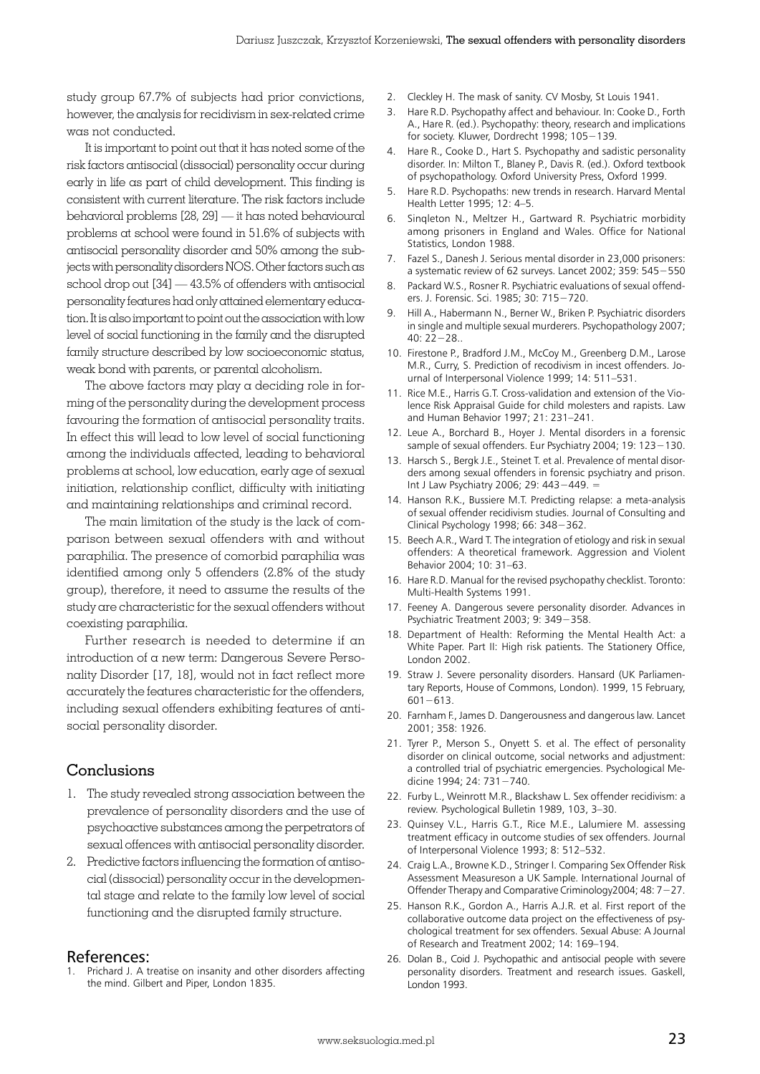study group 67.7% of subjects had prior convictions, however, the analysis for recidivism in sex-related crime was not conducted.

It is important to point out that it has noted some of the risk factors antisocial (dissocial) personality occur during early in life as part of child development. This finding is consistent with current literature. The risk factors include behavioral problems [28, 29] — it has noted behavioural problems at school were found in 51.6% of subjects with antisocial personality disorder and 50% among the subjects with personality disorders NOS. Other factors such as school drop out [34] — 43.5% of offenders with antisocial personality features had only attained elementary education. It is also important to point out the association with low level of social functioning in the family and the disrupted family structure described by low socioeconomic status, weak bond with parents, or parental alcoholism.

The above factors may play a deciding role in forming of the personality during the development process favouring the formation of antisocial personality traits. In effect this will lead to low level of social functioning among the individuals affected, leading to behavioral problems at school, low education, early age of sexual initiation, relationship conflict, difficulty with initiating and maintaining relationships and criminal record.

The main limitation of the study is the lack of comparison between sexual offenders with and without paraphilia. The presence of comorbid paraphilia was identified among only 5 offenders (2.8% of the study group), therefore, it need to assume the results of the study are characteristic for the sexual offenders without coexisting paraphilia.

Further research is needed to determine if an introduction of a new term: Dangerous Severe Personality Disorder [17, 18], would not in fact reflect more accurately the features characteristic for the offenders, including sexual offenders exhibiting features of antisocial personality disorder.

## Conclusions

- 1. The study revealed strong association between the prevalence of personality disorders and the use of psychoactive substances among the perpetrators of sexual offences with antisocial personality disorder.
- 2. Predictive factors influencing the formation of antisocial (dissocial) personality occur in the developmental stage and relate to the family low level of social functioning and the disrupted family structure.

#### References:

Prichard J. A treatise on insanity and other disorders affecting the mind. Gilbert and Piper, London 1835.

- 2. Cleckley H. The mask of sanity. CV Mosby, St Louis 1941.
- 3. Hare R.D. Psychopathy affect and behaviour. In: Cooke D., Forth A., Hare R. (ed.). Psychopathy: theory, research and implications for society. Kluwer, Dordrecht 1998; 105−139.
- 4. Hare R., Cooke D., Hart S. Psychopathy and sadistic personality disorder. In: Milton T., Blaney P., Davis R. (ed.). Oxford textbook of psychopathology. Oxford University Press, Oxford 1999.
- 5. Hare R.D. Psychopaths: new trends in research. Harvard Mental Health Letter 1995; 12: 4–5.
- 6. Sinqleton N., Meltzer H., Gartward R. Psychiatric morbidity among prisoners in England and Wales. Office for National Statistics, London 1988.
- 7. Fazel S., Danesh J. Serious mental disorder in 23,000 prisoners: a systematic review of 62 surveys. Lancet 2002; 359: 545−550
- 8. Packard W.S., Rosner R. Psychiatric evaluations of sexual offenders. J. Forensic. Sci. 1985; 30: 715−720.
- 9. Hill A., Habermann N., Berner W., Briken P. Psychiatric disorders in single and multiple sexual murderers. Psychopathology 2007; 40: 22−28..
- 10. Firestone P., Bradford J.M., McCoy M., Greenberg D.M., Larose M.R., Curry, S. Prediction of recodivism in incest offenders. Journal of Interpersonal Violence 1999; 14: 511–531.
- 11. Rice M.E., Harris G.T. Cross-validation and extension of the Violence Risk Appraisal Guide for child molesters and rapists. Law and Human Behavior 1997; 21: 231–241.
- 12. Leue A., Borchard B., Hoyer J. Mental disorders in a forensic sample of sexual offenders. Eur Psychiatry 2004; 19: 123−130.
- 13. Harsch S., Bergk J.E., Steinet T. et al. Prevalence of mental disorders among sexual offenders in forensic psychiatry and prison. Int J Law Psychiatry 2006; 29: 443−449. =
- 14. Hanson R.K., Bussiere M.T. Predicting relapse: a meta-analysis of sexual offender recidivism studies. Journal of Consulting and Clinical Psychology 1998; 66: 348−362.
- 15. Beech A.R., Ward T. The integration of etiology and risk in sexual offenders: A theoretical framework. Aggression and Violent Behavior 2004; 10: 31–63.
- 16. Hare R.D. Manual for the revised psychopathy checklist. Toronto: Multi-Health Systems 1991.
- 17. Feeney A. Dangerous severe personality disorder. Advances in Psychiatric Treatment 2003; 9: 349−358.
- 18. Department of Health: Reforming the Mental Health Act: a White Paper. Part II: High risk patients. The Stationery Office, London 2002.
- 19. Straw J. Severe personality disorders. Hansard (UK Parliamentary Reports, House of Commons, London). 1999, 15 February, 601−613.
- 20. Farnham F., James D. Dangerousness and dangerous law. Lancet 2001; 358: 1926.
- 21. Tyrer P., Merson S., Onyett S. et al. The effect of personality disorder on clinical outcome, social networks and adjustment: a controlled trial of psychiatric emergencies. Psychological Medicine 1994; 24: 731−740.
- 22. Furby L., Weinrott M.R., Blackshaw L. Sex offender recidivism: a review. Psychological Bulletin 1989, 103, 3–30.
- 23. Quinsey V.L., Harris G.T., Rice M.E., Lalumiere M. assessing treatment efficacy in outcome studies of sex offenders. Journal of Interpersonal Violence 1993; 8: 512–532.
- 24. Craig L.A., Browne K.D., Stringer I. Comparing Sex Offender Risk Assessment Measureson a UK Sample. International Journal of Offender Therapy and Comparative Criminology2004; 48: 7−27.
- 25. Hanson R.K., Gordon A., Harris A.J.R. et al. First report of the collaborative outcome data project on the effectiveness of psychological treatment for sex offenders. Sexual Abuse: A Journal of Research and Treatment 2002; 14: 169–194.
- 26. Dolan B., Coid J. Psychopathic and antisocial people with severe personality disorders. Treatment and research issues. Gaskell, London 1993.